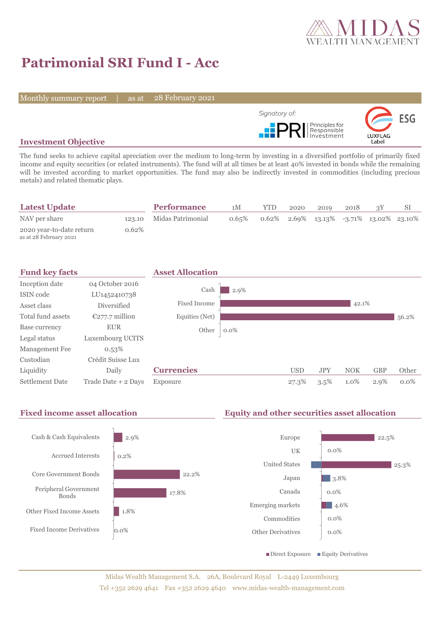

# **Patrimonial SRI Fund I - Acc**

Monthly summary report | as at

28 February 2021



# **Investment Objective**

The fund seeks to achieve capital apreciation over the medium to long-term by investing in a diversified portfolio of primarily fixed income and equity securities (or related instruments). The fund will at all times be at least 40% invested in bonds while the remaining will be invested according to market opportunities. The fund may also be indirectly invested in commodities (including precious metals) and related thematic plays.

| <b>Latest Update</b>                               |          | <b>Performance</b>       | 1M       | <b>YTD</b> | 2020 | 2019 | 2018 |                                            |  |
|----------------------------------------------------|----------|--------------------------|----------|------------|------|------|------|--------------------------------------------|--|
| NAV per share                                      |          | 123.10 Midas Patrimonial | $0.65\%$ |            |      |      |      | $0.62\%$ 2.69% 13.13% -3.71% 13.02% 23.10% |  |
| 2020 year-to-date return<br>as at 28 February 2021 | $0.62\%$ |                          |          |            |      |      |      |                                            |  |



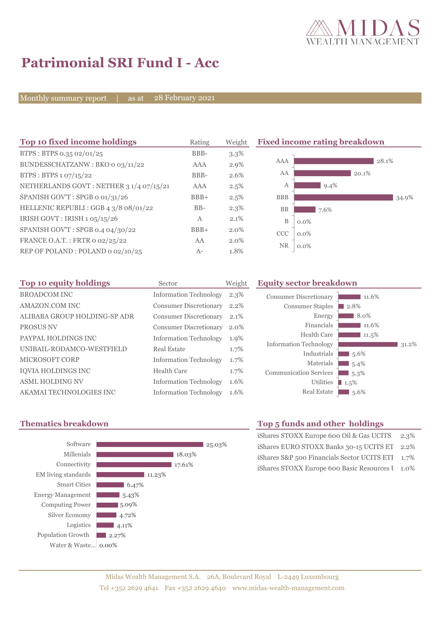

# **Patrimonial SRI Fund I - Acc**

Monthly summary report | as at

28 February 2021

| Top 10 fixed income holdings            | Rating       | Weight  |                       | <b>Fixed income rating breakdown</b> |       |
|-----------------------------------------|--------------|---------|-----------------------|--------------------------------------|-------|
| BTPS: BTPS 0.35 02/01/25                | BBB-         | $3.3\%$ |                       |                                      |       |
| BUNDESSCHATZANW: BKO 0 03/11/22         | <b>AAA</b>   | $2.9\%$ | AAA                   |                                      | 28.1% |
| BTPS: BTPS 1 07/15/22                   | BBB-         | 2.6%    | AA                    | 20.1%                                |       |
| NETHERLANDS GOVT: NETHER 3 1/4 07/15/21 | <b>AAA</b>   | $2.5\%$ | Α                     | $9.4\%$                              |       |
| SPANISH GOV'T: SPGB o 01/31/26          | $BBB+$       | 2.5%    | <b>BBB</b>            |                                      | 34.9% |
| HELLENIC REPUBLI : GGB 4 3/8 08/01/22   | $BB-$        | $2.3\%$ | <b>BB</b>             | 7.6%                                 |       |
| IRISH GOVT : IRISH 1 05/15/26           | $\mathbf{A}$ | 2.1%    | B<br>$0.0\%$          |                                      |       |
| SPANISH GOV'T: SPGB 0.4 04/30/22        | $BBB+$       | 2.0%    | <b>CCC</b><br>$0.0\%$ |                                      |       |
| FRANCE O.A.T.: FRTR 0 02/25/22          | AA           | $2.0\%$ |                       |                                      |       |
| REP OF POLAND: POLAND 0 02/10/25        | $A-$         | 1.8%    | <b>NR</b><br>$0.0\%$  |                                      |       |

| Top 10 equity holdings       | Sector                        | Weight |
|------------------------------|-------------------------------|--------|
| <b>BROADCOM INC</b>          | <b>Information Technology</b> | 2.3%   |
| AMAZON.COM INC               | <b>Consumer Discretionary</b> | 2.2%   |
| ALIBABA GROUP HOLDING-SP ADR | <b>Consumer Discretionary</b> | 2.1%   |
| <b>PROSUS NV</b>             | <b>Consumer Discretionary</b> | 2.0%   |
| PAYPAL HOLDINGS INC          | <b>Information Technology</b> | 1.9%   |
| UNIBAIL-RODAMCO-WESTFIELD    | Real Estate                   | 1.7%   |
| MICROSOFT CORP               | <b>Information Technology</b> | 1.7%   |
| IQVIA HOLDINGS INC           | Health Care                   | 1.7%   |
| <b>ASML HOLDING NV</b>       | <b>Information Technology</b> | 1.6%   |
| AKAMAI TECHNOLOGIES INC      | <b>Information Technology</b> | 1.6%   |

### **Equity sector breakdown**





# **Thematics breakdown Top 5 funds and other holdings**

| iShares STOXX Europe 600 Oil & Gas UCITS 2.3%    |  |
|--------------------------------------------------|--|
| iShares EURO STOXX Banks 30-15 UCITS ET 2.2%     |  |
| iShares S&P 500 Financials Sector UCITS ETI 1.7% |  |
| iShares STOXX Europe 600 Basic Resources I 1.0%  |  |